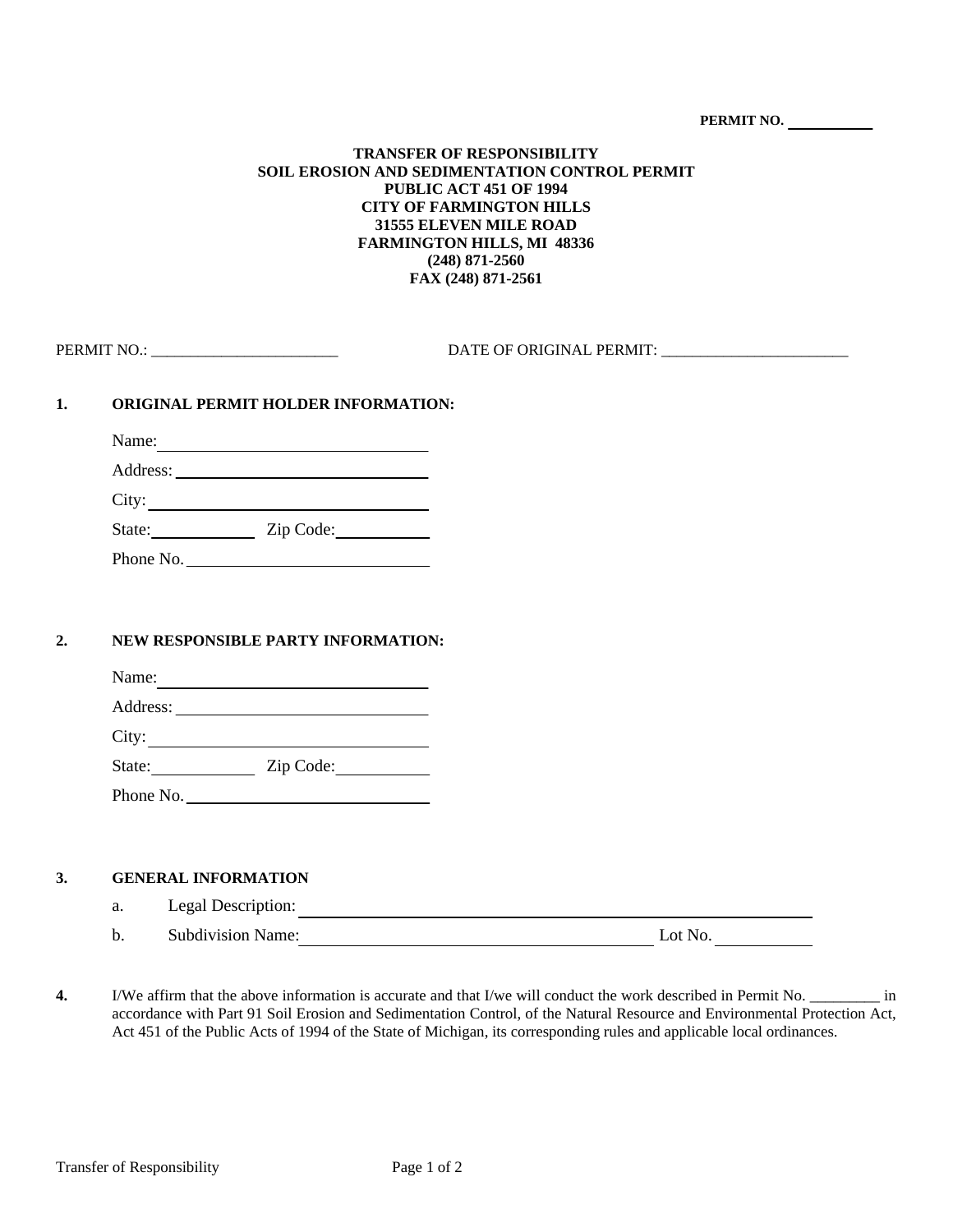**PERMIT NO.** 

### **TRANSFER OF RESPONSIBILITY SOIL EROSION AND SEDIMENTATION CONTROL PERMIT PUBLIC ACT 451 OF 1994 CITY OF FARMINGTON HILLS 31555 ELEVEN MILE ROAD FARMINGTON HILLS, MI 48336 (248) 871-2560 FAX (248) 871-2561**

| <b>PERMIT NC</b> | <b>DATE OF ORIGINAL</b> |
|------------------|-------------------------|
|                  | <b>PERMIT</b>           |

# **1. ORIGINAL PERMIT HOLDER INFORMATION:**

Name:

| Address:    |  |
|-------------|--|
| <b>City</b> |  |

State: Zip Code:

Phone No.

# **2. NEW RESPONSIBLE PARTY INFORMATION:**

| Name:    |  |  |
|----------|--|--|
| Address: |  |  |

City:

State: <u>Zip Code:</u>

Phone No.

# **3. GENERAL INFORMATION**

- a. Legal Description: b. Subdivision Name: Lot No. Lot No.
- **4.** I/We affirm that the above information is accurate and that I/we will conduct the work described in Permit No. \_\_\_\_\_\_\_\_\_ in accordance with Part 91 Soil Erosion and Sedimentation Control, of the Natural Resource and Environmental Protection Act, Act 451 of the Public Acts of 1994 of the State of Michigan, its corresponding rules and applicable local ordinances.